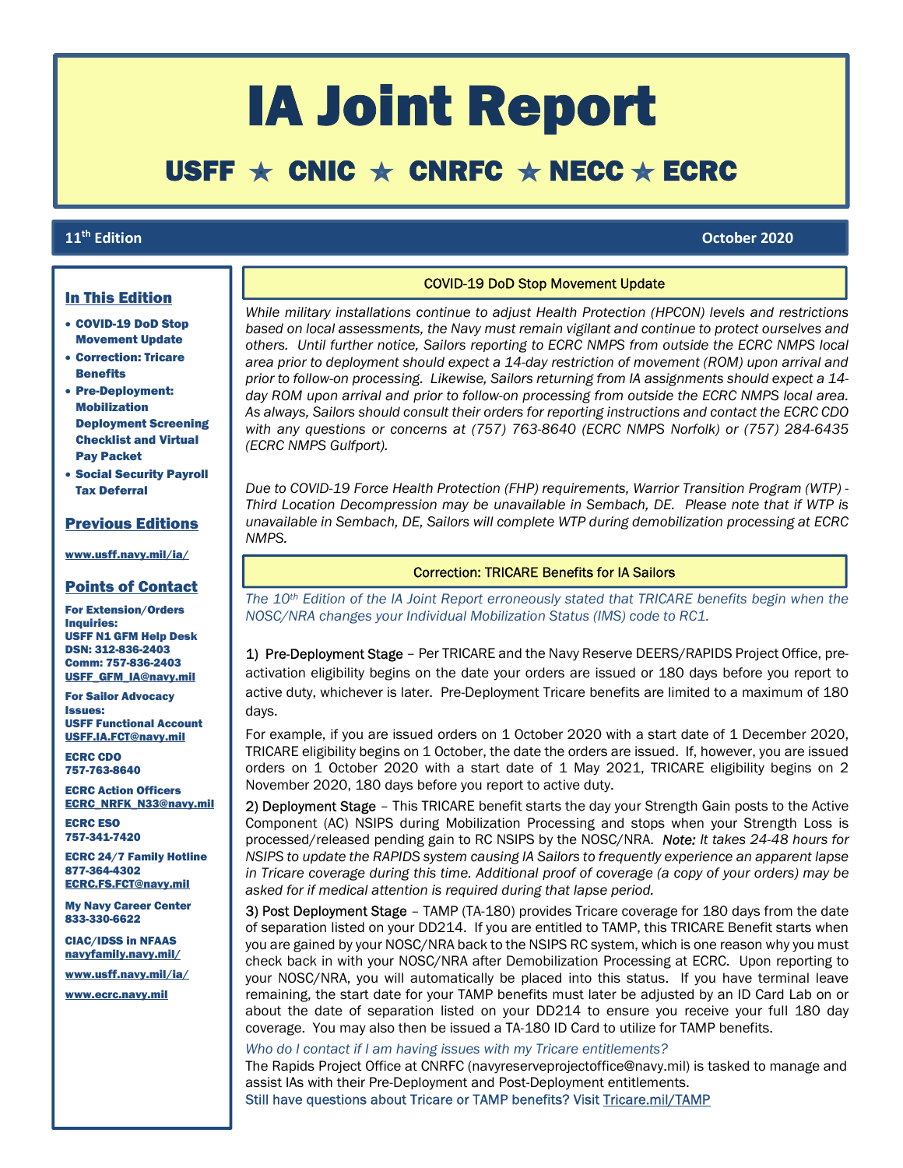# IA Joint Report

## USFF  $\star$  CNIC  $\star$  CNRFC  $\star$  NECC  $\star$  ECRC

### 11<sup>th</sup> Edition

ŕ

### th Edition October 2020

 $\overline{\phantom{a}}$ 

 $\mathbb{R}$ 

### In This Edition

- COVID-19 DoD Stop Movement Update
- Correction: Tricare **Benefits**
- Pre-Deployment: Mobilization Deployment Screening Checklist and Virtual Pay Packet
- Social Security Payroll Tax Deferral

### Previous Editions

www.usff.navy.mil/ia/

### Points of Contact

For Extension/Orders Inquiries: USFF N1 GFM Help Desk DSN: 312-836-2403 Comm: 757-836-2403 USFF\_GFM\_IA@navy.mil

For Sailor Advocacy Issues: USFF Functional Account USFF.IA.FCT@navy.mil

ECRC CDO 757-763-8640

ECRC Action Officers ECRC\_NRFK\_N33@navy.mil

ECRC ESO 757-341-7420

ECRC 24/7 Family Hotline 877-364-4302 ECRC.FS.FCT@navy.mil

My Navy Career Center 833-330-6622

CIAC/IDSS in NFAAS navyfamily.navy.mil/

www.usff.navy.mil/ia/

www.ecrc.navy.mil

### COVID-19 DoD Stop Movement Update

While military installations continue to adjust Health Protection (HPCON) levels and restrictions based on local assessments, the Navy must remain vigilant and continue to protect ourselves and others. Until further notice, Sailors reporting to ECRC NMPS from outside the ECRC NMPS local area prior to deployment should expect a 14-day restriction of movement (ROM) upon arrival and prior to follow-on processing. Likewise, Sailors returning from IA assignments should expect a 14 day ROM upon arrival and prior to follow-on processing from outside the ECRC NMPS local area. As always, Sailors should consult their orders for reporting instructions and contact the ECRC CDO with any questions or concerns at (757) 763-8640 (ECRC NMPS Norfolk) or (757) 284-6435 (ECRC NMPS Gulfport).

Due to COVID-19 Force Health Protection (FHP) requirements, Warrior Transition Program (WTP) - Third Location Decompression may be unavailable in Sembach, DE. Please note that if WTP is unavailable in Sembach, DE, Sailors will complete WTP during demobilization processing at ECRC NMPS.

#### Correction: TRICARE Benefits for IA Sailors

The 10<sup>th</sup> Edition of the IA Joint Report erroneously stated that TRICARE benefits begin when the NOSC/NRA changes your Individual Mobilization Status (IMS) code to RC1.

1) Pre-Deployment Stage - Per TRICARE and the Navy Reserve DEERS/RAPIDS Project Office, preactivation eligibility begins on the date your orders are issued or 180 days before you report to active duty, whichever is later. Pre-Deployment Tricare benefits are limited to a maximum of 180 days.

For example, if you are issued orders on 1 October 2020 with a start date of 1 December 2020, TRICARE eligibility begins on 1 October, the date the orders are issued. If, however, you are issued orders on 1 October 2020 with a start date of 1 May 2021, TRICARE eligibility begins on 2 November 2020, 180 days before you report to active duty.

2) Deployment Stage – This TRICARE benefit starts the day your Strength Gain posts to the Active Component (AC) NSIPS during Mobilization Processing and stops when your Strength Loss is processed/released pending gain to RC NSIPS by the NOSC/NRA. Note: It takes 24-48 hours for NSIPS to update the RAPIDS system causing IA Sailors to frequently experience an apparent lapse in Tricare coverage during this time. Additional proof of coverage (a copy of your orders) may be asked for if medical attention is required during that lapse period.

3) Post Deployment Stage - TAMP (TA-180) provides Tricare coverage for 180 days from the date of separation listed on your DD214. If you are entitled to TAMP, this TRICARE Benefit starts when you are gained by your NOSC/NRA back to the NSIPS RC system, which is one reason why you must check back in with your NOSC/NRA after Demobilization Processing at ECRC. Upon reporting to your NOSC/NRA, you will automatically be placed into this status. If you have terminal leave remaining, the start date for your TAMP benefits must later be adjusted by an ID Card Lab on or about the date of separation listed on your DD214 to ensure you receive your full 180 day coverage. You may also then be issued a TA-180 ID Card to utilize for TAMP benefits.

Who do I contact if I am having issues with my Tricare entitlements?

The Rapids Project Office at CNRFC (navyreserveprojectoffice@navy.mil) is tasked to manage and assist IAs with their Pre-Deployment and Post-Deployment entitlements.

Still have questions about Tricare or TAMP benefits? Visit Tricare.mil/TAMP